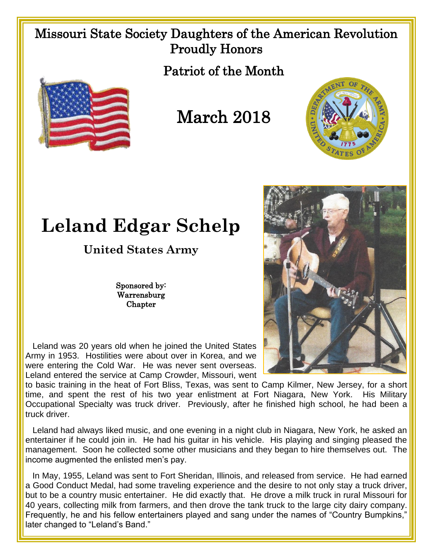## Missouri State Society Daughters of the American Revolution Proudly Honors

Patriot of the Month



March 2018



## **Leland Edgar Schelp**

**United States Army**

Sponsored by: Warrensburg Chapter

 Leland was 20 years old when he joined the United States Army in 1953. Hostilities were about over in Korea, and we were entering the Cold War. He was never sent overseas. Leland entered the service at Camp Crowder, Missouri, went

to basic training in the heat of Fort Bliss, Texas, was sent to Camp Kilmer, New Jersey, for a short time, and spent the rest of his two year enlistment at Fort Niagara, New York. His Military Occupational Specialty was truck driver. Previously, after he finished high school, he had been a truck driver.

 Leland had always liked music, and one evening in a night club in Niagara, New York, he asked an entertainer if he could join in. He had his guitar in his vehicle. His playing and singing pleased the management. Soon he collected some other musicians and they began to hire themselves out. The income augmented the enlisted men's pay.

 In May, 1955, Leland was sent to Fort Sheridan, Illinois, and released from service. He had earned a Good Conduct Medal, had some traveling experience and the desire to not only stay a truck driver, but to be a country music entertainer. He did exactly that. He drove a milk truck in rural Missouri for 40 years, collecting milk from farmers, and then drove the tank truck to the large city dairy company. Frequently, he and his fellow entertainers played and sang under the names of "Country Bumpkins," later changed to "Leland's Band."